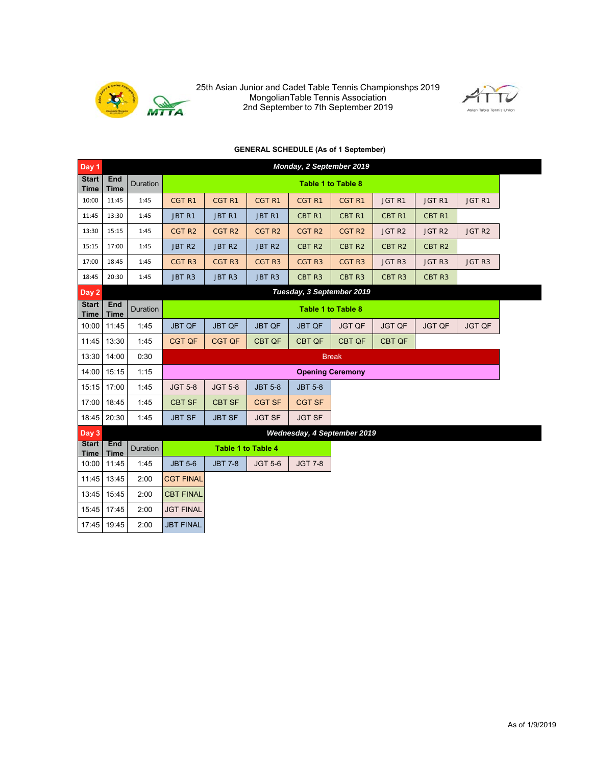

25th Asian Junior and Cadet Table Tennis Championshps 2019 MongolianTable Tennis Association 2nd September to 7th September 2019



## **GENERAL SCHEDULE (As of 1 September)**

| Day <sub>1</sub>            |                    |                 |                   |                             |                   | Monday, 2 September 2019  |                         |                   |                   |                   |  |  |
|-----------------------------|--------------------|-----------------|-------------------|-----------------------------|-------------------|---------------------------|-------------------------|-------------------|-------------------|-------------------|--|--|
| <b>Start</b><br><b>Time</b> | End<br><b>Time</b> | <b>Duration</b> |                   |                             |                   | <b>Table 1 to Table 8</b> |                         |                   |                   |                   |  |  |
| 10:00                       | 11:45              | 1:45            | CGT <sub>R1</sub> | CGT <sub>R1</sub>           | CGT <sub>R1</sub> | CGT <sub>R1</sub>         | CGT <sub>R1</sub>       | JGT <sub>R1</sub> | JGT <sub>R1</sub> | JGT <sub>R1</sub> |  |  |
| 11:45                       | 13:30              | 1:45            | JBT <sub>R1</sub> | JBT R1                      | JBT R1            | CBT <sub>R1</sub>         | CBT <sub>R1</sub>       | CBT <sub>R1</sub> | CBT <sub>R1</sub> |                   |  |  |
| 13:30                       | 15:15              | 1:45            | CGT <sub>R2</sub> | CGT <sub>R2</sub>           | CGT <sub>R2</sub> | CGT <sub>R2</sub>         | CGT <sub>R2</sub>       | JGT <sub>R2</sub> | JGT <sub>R2</sub> | JGT <sub>R2</sub> |  |  |
| 15:15                       | 17:00              | 1:45            | JBT <sub>R2</sub> | JBT R2                      | JBT R2            | CBT <sub>R2</sub>         | CBT <sub>R2</sub>       | CBT <sub>R2</sub> | CBT <sub>R2</sub> |                   |  |  |
| 17:00                       | 18:45              | 1:45            | CGT <sub>R3</sub> | CGT <sub>R3</sub>           | CGT <sub>R3</sub> | CGT <sub>R3</sub>         | CGT <sub>R3</sub>       | JGT <sub>R3</sub> | JGT <sub>R3</sub> | JGT <sub>R3</sub> |  |  |
| 18:45                       | 20:30              | 1:45            | JBT R3            | JBT R3                      | JBT R3            | CBT <sub>R3</sub>         | CBT <sub>R3</sub>       | CBT R3            | CBT <sub>R3</sub> |                   |  |  |
| Day 2                       |                    |                 |                   |                             |                   | Tuesday, 3 September 2019 |                         |                   |                   |                   |  |  |
| <b>Start</b><br><b>Time</b> | End<br><b>Time</b> | <b>Duration</b> |                   |                             |                   | Table 1 to Table 8        |                         |                   |                   |                   |  |  |
| 10:00                       | 11:45              | 1:45            | <b>JBT QF</b>     | <b>JBT QF</b>               | <b>JBT QF</b>     | <b>JBT QF</b>             | <b>JGT QF</b>           | <b>JGT QF</b>     | <b>JGT QF</b>     | <b>JGT QF</b>     |  |  |
| 11:45                       | 13:30              | 1:45            | CGT QF            | <b>CGT QF</b>               | <b>CBT QF</b>     | <b>CBT QF</b>             | CBT QF                  | CBT QF            |                   |                   |  |  |
| 13:30                       | 14:00              | 0:30            |                   |                             |                   |                           | <b>Break</b>            |                   |                   |                   |  |  |
| 14:00                       | 15:15              | 1:15            |                   |                             |                   |                           | <b>Opening Ceremony</b> |                   |                   |                   |  |  |
| 15:15                       | 17:00              | 1:45            | <b>JGT 5-8</b>    | <b>JGT 5-8</b>              | <b>JBT 5-8</b>    | <b>JBT 5-8</b>            |                         |                   |                   |                   |  |  |
| 17:00                       | 18:45              | 1:45            | <b>CBT SF</b>     | <b>CBT SF</b>               | <b>CGT SF</b>     | <b>CGT SF</b>             |                         |                   |                   |                   |  |  |
| 18:45                       | 20:30              | 1:45            | <b>JBT SF</b>     | <b>JBT SF</b>               | <b>JGT SF</b>     | <b>JGT SF</b>             |                         |                   |                   |                   |  |  |
| Day 3                       |                    |                 |                   | Wednesday, 4 September 2019 |                   |                           |                         |                   |                   |                   |  |  |
| <b>Start</b><br>Time        | End<br><b>Time</b> | Duration        |                   | <b>Table 1 to Table 4</b>   |                   |                           |                         |                   |                   |                   |  |  |
| 10:00                       | 11:45              | 1:45            | <b>JBT 5-6</b>    | <b>JBT 7-8</b>              | <b>JGT 5-6</b>    | <b>JGT 7-8</b>            |                         |                   |                   |                   |  |  |
| 11:45                       | 13:45              | 2:00            | <b>CGT FINAL</b>  |                             |                   |                           |                         |                   |                   |                   |  |  |
| 13:45                       | 15:45              | 2:00            | <b>CBT FINAL</b>  |                             |                   |                           |                         |                   |                   |                   |  |  |
| 15:45                       | 17:45              | 2:00            | <b>JGT FINAL</b>  |                             |                   |                           |                         |                   |                   |                   |  |  |
| 17:45                       | 19:45              | 2:00            | <b>JBT FINAL</b>  |                             |                   |                           |                         |                   |                   |                   |  |  |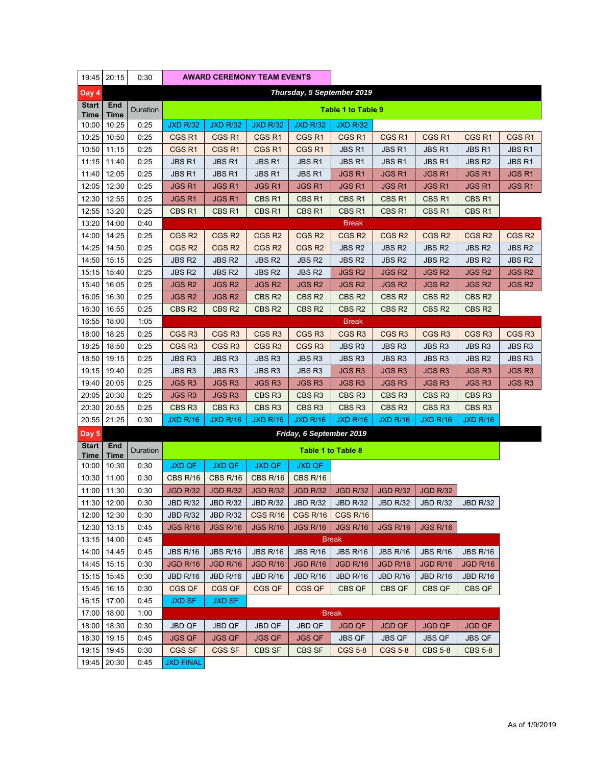| 19:45                       | 20:15          | 0:30         |                               | <b>AWARD CEREMONY TEAM EVENTS</b> |                                    |                                    |                                      |                                   |                                      |                                    |                   |
|-----------------------------|----------------|--------------|-------------------------------|-----------------------------------|------------------------------------|------------------------------------|--------------------------------------|-----------------------------------|--------------------------------------|------------------------------------|-------------------|
| Day 4                       |                |              |                               |                                   |                                    |                                    | Thursday, 5 September 2019           |                                   |                                      |                                    |                   |
| <b>Start</b><br><b>Time</b> | End<br>Time    | Duration     |                               |                                   |                                    |                                    | Table 1 to Table 9                   |                                   |                                      |                                    |                   |
| 10:00                       | 10:25          | 0:25         | <b>JXD R/32</b>               | <b>JXD R/32</b>                   | <b>JXD R/32</b>                    | <b>JXD R/32</b>                    | <b>JXD R/32</b>                      |                                   |                                      |                                    |                   |
| 10:25                       | 10:50          | 0:25         | CGS <sub>R1</sub>             | CGS <sub>R1</sub>                 | CGS <sub>R1</sub>                  | CGS <sub>R1</sub>                  | CGS <sub>R1</sub>                    | CGS <sub>R1</sub>                 | CGS <sub>R1</sub>                    | CGS <sub>R1</sub>                  | CGS <sub>R1</sub> |
| 10:50                       | 11:15          | 0:25         | CGS <sub>R1</sub>             | CGS <sub>R1</sub>                 | CGS <sub>R1</sub>                  | CGS <sub>R1</sub>                  | JBS <sub>R1</sub>                    | JBS R1                            | <b>JBS R1</b>                        | JBS <sub>R1</sub>                  | <b>JBS R1</b>     |
| 11:15                       | 11:40          | 0:25         | <b>JBS R1</b>                 | JBS R1                            | <b>JBS R1</b>                      | <b>JBS R1</b>                      | <b>JBS R1</b>                        | <b>JBS R1</b>                     | <b>JBS R1</b>                        | <b>JBS R2</b>                      | <b>JBS R1</b>     |
| 11:40                       | 12:05          | 0:25         | <b>JBS R1</b>                 | <b>JBS R1</b>                     | JBS <sub>R1</sub>                  | <b>JBS R1</b>                      | <b>JGSR1</b>                         | <b>JGSR1</b>                      | <b>JGSR1</b>                         | <b>JGSR1</b>                       | <b>JGSR1</b>      |
| 12:05                       | 12:30          | 0:25         | <b>JGSR1</b>                  | JGS R1                            | <b>JGSR1</b>                       | <b>JGSR1</b>                       | <b>JGSR1</b>                         | <b>JGSR1</b>                      | <b>JGSR1</b>                         | <b>JGSR1</b>                       | <b>JGSR1</b>      |
| 12:30                       | 12:55          | 0:25         | <b>JGSR1</b>                  | <b>JGSR1</b>                      | CBS <sub>R1</sub>                  | CBS <sub>R1</sub>                  | CBS <sub>R1</sub>                    | CBS <sub>R1</sub>                 | CBS <sub>R1</sub>                    | CBS <sub>R1</sub>                  |                   |
| 12:55                       | 13:20          | 0:25         | CBS <sub>R1</sub>             | CBS <sub>R1</sub>                 | CBS <sub>R1</sub>                  | CBS R1                             | CBS <sub>R1</sub>                    | CBS <sub>R1</sub>                 | CBS <sub>R1</sub>                    | CBS <sub>R1</sub>                  |                   |
| 13:20                       | 14:00          | 0:40         |                               |                                   |                                    |                                    | <b>Break</b>                         |                                   |                                      |                                    |                   |
| 14:00                       | 14:25          | 0:25         | CGS <sub>R2</sub>             | CGS <sub>R2</sub>                 | CGS <sub>R2</sub>                  | CGS <sub>R2</sub>                  | CGS <sub>R2</sub>                    | CGS <sub>R2</sub>                 | CGS <sub>R2</sub>                    | CGS <sub>R2</sub>                  | CGS <sub>R2</sub> |
| 14:25                       | 14:50          | 0:25         | CGS <sub>R2</sub>             | CGS <sub>R2</sub>                 | CGS <sub>R2</sub>                  | CGS <sub>R2</sub>                  | <b>JBS R2</b>                        | <b>JBS R2</b>                     | <b>JBS R2</b>                        | <b>JBS R2</b>                      | <b>JBS R2</b>     |
| 14:50                       | 15:15          | 0:25         | <b>JBS R2</b>                 | <b>JBS R2</b>                     | JBS R2                             | <b>JBS R2</b>                      | <b>JBS R2</b>                        | <b>JBS R2</b>                     | <b>JBS R2</b>                        | <b>JBS R2</b>                      | <b>JBS R2</b>     |
| 15:15                       | 15:40          | 0:25         | <b>JBS R2</b>                 | <b>JBS R2</b>                     | JBS R2                             | JBS R2                             | <b>JGS R2</b>                        | <b>JGS R2</b>                     | <b>JGS R2</b>                        | <b>JGS R2</b>                      | <b>JGS R2</b>     |
| 15:40                       | 16:05          | 0:25         | <b>JGS R2</b>                 | JGS R2                            | <b>JGS R2</b>                      | <b>JGS R2</b>                      | <b>JGS R2</b>                        | <b>JGS R2</b>                     | <b>JGS R2</b>                        | <b>JGSR2</b>                       | <b>JGS R2</b>     |
| 16:05                       | 16:30          | 0:25         | <b>JGSR2</b>                  | <b>JGSR2</b>                      | CBS <sub>R2</sub>                  | CBS <sub>R2</sub>                  | CBS <sub>R2</sub>                    | CBS <sub>R2</sub>                 | CBS <sub>R2</sub>                    | CBS <sub>R2</sub>                  |                   |
| 16:30                       | 16:55          | 0:25         | CBS <sub>R2</sub>             | CBS <sub>R2</sub>                 | CBS <sub>R2</sub>                  | CBS R <sub>2</sub>                 | CBS <sub>R2</sub>                    | CBS <sub>R2</sub>                 | CBS <sub>R2</sub>                    | CBS <sub>R2</sub>                  |                   |
| 16:55                       | 18:00          | 1:05         |                               |                                   |                                    |                                    | <b>Break</b>                         |                                   |                                      |                                    |                   |
| 18:00                       | 18:25          | 0:25         | CGS <sub>R3</sub>             | CGS <sub>R3</sub>                 | CGS <sub>R3</sub>                  | CGS <sub>R3</sub>                  | CGS <sub>R3</sub>                    | CGS <sub>R3</sub>                 | CGS <sub>R3</sub>                    | CGS <sub>R3</sub>                  | CGS <sub>R3</sub> |
| 18:25                       | 18:50          | 0:25         | CGS <sub>R3</sub>             | CGS <sub>R3</sub>                 | CGS <sub>R3</sub>                  | CGS <sub>R3</sub>                  | <b>JBS R3</b>                        | <b>JBS R3</b>                     | JBS R3                               | <b>JBS R3</b>                      | JBS R3            |
| 18:50                       | 19:15          | 0:25         | JBS R3                        | JBS R3                            | JBS R3                             | JBS R3                             | JBS R3                               | JBS R3                            | <b>JBS R3</b>                        | <b>JBS R2</b>                      | JBS R3            |
| 19:15                       | 19:40          | 0:25         | <b>JBS R3</b>                 | <b>JBS R3</b>                     | <b>JBS R3</b>                      | <b>JBS R3</b>                      | <b>JGSR3</b>                         | <b>JGSR3</b>                      | <b>JGS R3</b>                        | <b>JGS R3</b>                      | <b>JGS R3</b>     |
| 19:40<br>20:05              | 20:05<br>20:30 | 0:25<br>0:25 | <b>JGS R3</b><br><b>JGSR3</b> | JGS R3<br><b>JGSR3</b>            | <b>JGS R3</b><br>CBS <sub>R3</sub> | <b>JGS R3</b><br>CBS <sub>R3</sub> | <b>JGSR3</b><br>CBS <sub>R3</sub>    | <b>JGSR3</b><br>CBS <sub>R3</sub> | <b>JGSR3</b><br>CBS <sub>R3</sub>    | <b>JGS R3</b><br>CBS <sub>R3</sub> | <b>JGS R3</b>     |
| 20:30                       | 20:55          |              | CBS <sub>R3</sub>             | CBS <sub>R3</sub>                 | CBS <sub>R3</sub>                  | CBS <sub>R3</sub>                  |                                      | CBS <sub>R3</sub>                 |                                      | CBS <sub>R3</sub>                  |                   |
| 20:55                       | 21:25          | 0:25<br>0:30 | <b>JXD R/16</b>               | <b>JXD R/16</b>                   | <b>JXD R/16</b>                    | <b>JXD R/16</b>                    | CBS <sub>R3</sub><br><b>JXD R/16</b> | <b>JXD R/16</b>                   | CBS <sub>R3</sub><br><b>JXD R/16</b> | <b>JXD R/16</b>                    |                   |
| Day 5                       |                |              |                               |                                   |                                    | Friday, 6 September 2019           |                                      |                                   |                                      |                                    |                   |
| <b>Start</b>                | End            |              |                               |                                   |                                    |                                    |                                      |                                   |                                      |                                    |                   |
| Time                        | Time           | Duration     |                               |                                   |                                    | Table 1 to Table 8                 |                                      |                                   |                                      |                                    |                   |
| 10:00                       | 10:30          | 0:30         | <b>JXD QF</b>                 | <b>JXD QF</b>                     | <b>JXD QF</b>                      | <b>JXD QF</b>                      |                                      |                                   |                                      |                                    |                   |
| 10:30                       | 11:00          | 0:30         | <b>CBS R/16</b>               | <b>CBS R/16</b>                   | <b>CBS R/16</b>                    | <b>CBS R/16</b>                    |                                      |                                   |                                      |                                    |                   |
| 11:00                       | 11:30          | 0:30         | <b>JGD R/32</b>               | <b>JGD R/32</b>                   | <b>JGD R/32</b>                    | <b>JGD R/32</b>                    | <b>JGD R/32</b>                      | <b>JGD R/32</b>                   | <b>JGD R/32</b>                      |                                    |                   |
|                             | 11:30 12:00    | 0:30         | JBD R/32                      | JBD R/32                          | <b>JBD R/32</b>                    | JBD R/32                           | JBD R/32                             | JBD R/32                          | JBD R/32                             | <b>JBD R/32</b>                    |                   |
| 12:00                       | 12:30          | 0:30         | <b>JBD R/32</b>               | <b>JBD R/32</b>                   | CGS R/16                           | <b>CGS R/16</b>                    | CGS R/16                             |                                   |                                      |                                    |                   |
| 12:30                       | 13:15          | 0:45         | <b>JGS R/16</b>               | <b>JGS R/16</b>                   | <b>JGS R/16</b>                    | <b>JGS R/16</b>                    | <b>JGS R/16</b>                      | <b>JGS R/16</b>                   | <b>JGS R/16</b>                      |                                    |                   |
| 13:15                       | 14:00          | 0:45         |                               |                                   |                                    |                                    | <b>Break</b>                         |                                   |                                      |                                    |                   |
| 14:00                       | 14:45          | 0:45         | <b>JBS R/16</b>               | <b>JBS R/16</b>                   | <b>JBS R/16</b>                    | <b>JBS R/16</b>                    | <b>JBS R/16</b>                      | <b>JBS R/16</b>                   | <b>JBS R/16</b>                      | <b>JBS R/16</b>                    |                   |
| 14:45                       | 15:15          | 0:30         | <b>JGD R/16</b>               | <b>JGD R/16</b>                   | <b>JGD R/16</b>                    | <b>JGD R/16</b>                    | <b>JGD R/16</b>                      | <b>JGD R/16</b>                   | <b>JGD R/16</b>                      | <b>JGD R/16</b>                    |                   |
| 15:15                       | 15:45          | 0:30         | <b>JBD R/16</b>               | <b>JBD R/16</b>                   | <b>JBD R/16</b>                    | <b>JBD R/16</b>                    | <b>JBD R/16</b>                      | <b>JBD R/16</b>                   | <b>JBD R/16</b>                      | <b>JBD R/16</b>                    |                   |
| 15:45                       | 16:15          | 0:30         | CGS QF                        | CGS QF                            | CGS QF                             | CGS QF                             | CBS QF                               | CBS QF                            | <b>CBS QF</b>                        | CBS QF                             |                   |
| 16:15                       | 17:00          | 0:45         | <b>JXD SF</b>                 | <b>JXD SF</b>                     |                                    |                                    |                                      |                                   |                                      |                                    |                   |
| 17:00                       | 18:00          | 1:00         |                               |                                   |                                    |                                    | <b>Break</b>                         |                                   |                                      |                                    |                   |
| 18:00                       | 18:30          | 0:30         | JBD QF                        | JBD QF                            | <b>JBD QF</b>                      | <b>JBD QF</b>                      | <b>JGD QF</b>                        | <b>JGD QF</b>                     | <b>JGD QF</b>                        | <b>JGD QF</b>                      |                   |
| 18:30                       | 19:15          | 0:45         | <b>JGS QF</b>                 | <b>JGS QF</b>                     | <b>JGS QF</b>                      | <b>JGS QF</b>                      | <b>JBS QF</b>                        | <b>JBS QF</b>                     | <b>JBS QF</b>                        | <b>JBS QF</b>                      |                   |
| 19:15                       | 19:45          | 0:30         | CGS SF                        | <b>CGS SF</b>                     | CBS SF                             | CBS SF                             | <b>CGS 5-8</b>                       | <b>CGS 5-8</b>                    | <b>CBS 5-8</b>                       | <b>CBS 5-8</b>                     |                   |
| 19:45                       | 20:30          | 0:45         | JXD FINAL                     |                                   |                                    |                                    |                                      |                                   |                                      |                                    |                   |